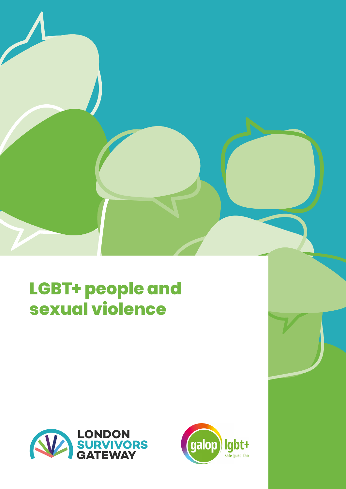

## **LGBT+ people and sexual violence**



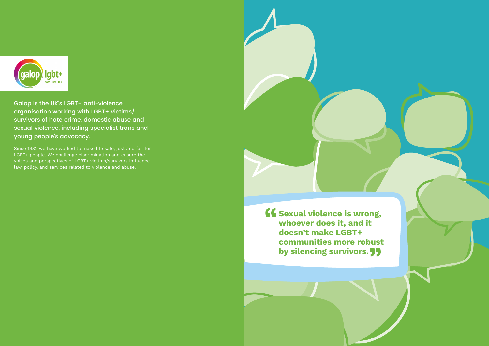

Galop is the UK's LGBT+ anti-violence organisation working with LGBT+ victims/ survivors of hate crime, domestic abuse and sexual violence, including specialist trans and young people's advocacy.

Since 1982 we have worked to make life safe, just and fair for LGBT+ people. We challenge discrimination and ensure the voices and perspectives of LGBT+ victims/survivors influence law, policy, and services related to violence and abuse.



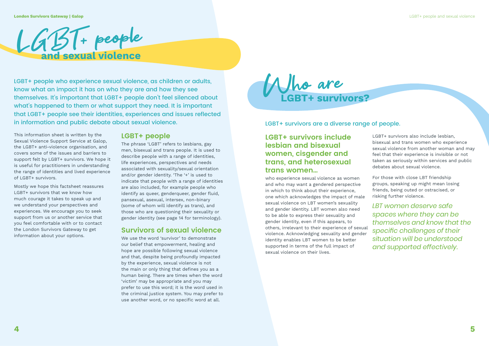LGBT+ people who experience sexual violence, as children or adults, know what an impact it has on who they are and how they see themselves. It's important that LGBT+ people don't feel silenced about what's happened to them or what support they need. It is important that LGBT+ people see their identities, experiences and issues reflected in information and public debate about sexual violence.

This information sheet is written by the Sexual Violence Support Service at Galop, the LGBT+ anti-violence organisation, and covers some of the issues and barriers to support felt by LGBT+ survivors. We hope it is useful for practitioners in understanding the range of identities and lived experience of LGBT+ survivors.

Mostly we hope this factsheet reassures LGBT+ survivors that we know how much courage it takes to speak up and we understand your perspectives and experiences. We encourage you to seek support from us or another service that you feel comfortable with or to contact the London Survivors Gateway to get information about your options.

## **LGBT+ people**



The phrase 'LGBT' refers to lesbians, gay men, bisexual and trans people. It is used to describe people with a range of identities, life experiences, perspectives and needs associated with sexuality/sexual orientation and/or gender identity. 'The '+' is used to indicate that people with a range of identities are also included, for example people who identify as queer, genderqueer, gender fluid, pansexual, asexual, intersex, non-binary (some of whom will identify as trans), and those who are questioning their sexuality or gender identity (see page 14 for terminology).

### **Survivors of sexual violence**

We use the word 'survivor' to demonstrate our belief that empowerment, healing and hope are possible following sexual violence and that, despite being profoundly impacted by the experience, sexual violence is not the main or only thing that defines you as a human being. There are times when the word 'victim' may be appropriate and you may prefer to use this word; it is the word used in the criminal justice system. You may prefer to use another word, or no specific word at all.

LGBT+ survivors are a diverse range of people.

## **LGBT+ survivors include lesbian and bisexual women, cisgender and trans, and heterosexual trans women…**

who experience sexual violence as women and who may want a gendered perspective in which to think about their experience, one which acknowledges the impact of male sexual violence on LBT women's sexuality and gender identity. LBT women also need to be able to express their sexuality and gender identity, even if this appears, to others, irrelevant to their experience of sexual violence. Acknowledging sexuality and gender identity enables LBT women to be better supported in terms of the full impact of sexual violence on their lives. For those with close LBT friendship groups, speaking up might mean losing friends, being outed or ostracised, or risking further violence. *LBT women deserve safe spaces where they can be themselves and know that the specific challenges of their situation will be understood and supported effectively.*

LGBT+ survivors also include lesbian, bisexual and trans women who experience sexual violence from another woman and may feel that their experience is invisible or not taken as seriously within services and public debates about sexual violence.

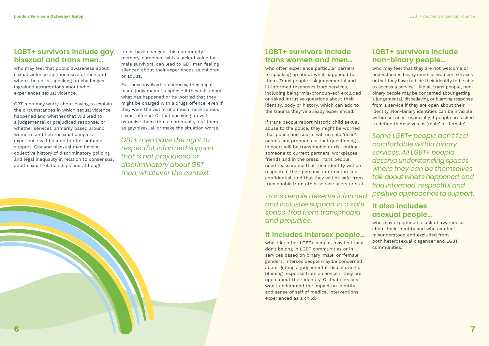## **LGBT+ survivors include gay, bisexual and trans men…**

who may feel that public awareness about sexual violence isn't inclusive of men and where the act of speaking up challenges ingrained assumptions about who experiences sexual violence.

GBT men may worry about having to explain the circumstances in which sexual violence happened and whether that will lead to a judgemental or prejudiced response, or whether services primarily based around women's and heterosexual people's experience will be able to offer suitable support. Gay and bisexual men have a collective history of discriminatory policing and legal inequality in relation to consensual adult sexual relationships and although

times have changed, this community memory, combined with a lack of voice for male survivors, can lead to GBT men feeling silenced about their experiences as children or adults.

For those involved in chemsex, they might fear a judgemental response if they talk about what has happened or be worried that they might be charged with a drugs offence, even if they were the victim of a much more serious sexual offence. Or that speaking up will ostracise them from a community, out them as gay/bisexual, or make the situation worse.

*GBT+ men have the right to respectful, informed support that is not prejudiced or discriminatory about GBT men, whatever the context.* 

## **LGBT+ survivors include trans women and men…**

who often experience particular barriers to speaking up about what happened to them. Trans people risk judgemental and ill-informed responses from services, including being 'mis-pronoun-ed', excluded or asked intrusive questions about their identity, body or history, which can add to the trauma they've already experienced.

If trans people report historic child sexual abuse to the police, they might be worried that police and courts will use old 'dead' names and pronouns or that questioning in court will be transphobic or risk outing someone to current partners, workplaces, friends and in the press. Trans people need reassurance that their identity will be respected, their personal information kept confidential, and that they will be safe from transphobia from other service users or staff.

*Trans people deserve informed and inclusive support in a safe space, free from transphobia and prejudice.*

## **It includes intersex people…**

who, like other LGBT+ people, may feel they don't belong in LGBT communities or in services based on binary 'male' or 'female' genders. Intersex people may be concerned about getting a judgemental, disbelieving or blaming response from a service if they are open about their identity. Or that services won't understand the impact on identity and sense of self of medical interventions experienced as a child.

## **LGBT+ survivors include non-binary people…**

who may feel that they are not welcome or understood in binary men's or women's services or that they have to hide their identity to be able to access a service. Like all trans people, nonbinary people may be concerned about getting a judgemental, disbelieving or blaming response from a service if they are open about their identity. Non-binary identities can be invisible within services, especially if people are asked to define themselves as 'male' or 'female'.

*Some LGBT+ people don't feel comfortable within binary services. All LGBT+ people deserve understanding spaces where they can be themselves, talk about what's happened, and find informed, respectful and positive approaches to support.*

## **It also includes asexual people…**

who may experience a lack of awareness about their identity and who can feel misunderstood and excluded from both heterosexual cisgender and LGBT communities.

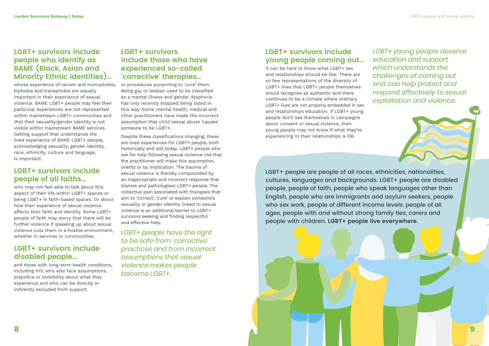## **LGBT+ survivors include people who identify as BAME (Black, Asian and Minority Ethnic identities)…**

whose experience of racism and homophobia, biphobia and transphobia are equally important in their experience of sexual violence. BAME LGBT+ people may feel their particular experiences are not represented within mainstream LGBT+ communities and that their sexuality/gender identity is not visible within mainstream BAME services. Getting support that understands the lived experience of BAME LGBT+ people, acknowledging sexuality, gender identity, race, ethnicity, culture and language, is important.

## **LGBT+ survivors include people of all faiths…**

who may not feel able to talk about this aspect of their life within LGBT+ spaces or being LGBT+ in faith-based spaces. Or about how their experience of sexual violence affects their faith and identity. Some LGBT+ people of faith may worry that there will be further violence if speaking up about sexual violence outs them in a hostile environment, whether in services or communities.

## **LGBT+ survivors include disabled people…**

and those with long-term health conditions, including HIV, who also face assumptions, prejudice or invisibility about what they experience and who can be directly or indirectly excluded from support.

## **LGBT+ survivors include those who have experienced so-called 'corrective' therapies…**

or procedures purporting to 'cure' them. Being gay or lesbian used to be classified as a mental illness and gender dysphoria has only recently stopped being listed in this way. Some mental health, medical and other practitioners have made the incorrect assumption that child sexual abuse 'causes' someone to be LGBT+.

Despite these classifications changing, these are lived experiences for LGBT+ people, both historically and still today. LGBT+ people who ask for help following sexual violence risk that the practitioner will make this assumption, overtly or by implication. The trauma of sexual violence is thereby compounded by an inappropriate and incorrect response that blames and pathologises LGBT+ people. The collective pain associated with therapies that aim to 'correct', 'cure' or explain someone's sexuality or gender identity linked to sexual violence is an additional barrier to LGBT+ survivors seeking and finding respectful and effective help.

*LGBT+ people have the right to be safe from 'corrective' practices and from incorrect assumptions that sexual violence makes people become LGBT+.*

## **LGBT+ survivors include young people coming out…**

it can be hard to know what LGBT+ sex and relationships should be like. There are so few representations of the diversity of LGBT+ lives that LGBT+ people themselves would recognise as authentic and there continues to be a climate where ordinary LGBT+ lives are not properly embedded in sex and relationships education. If LGBT+ young people don't see themselves in campaigns about consent or sexual violence, then young people may not know if what they're experiencing in their relationships is OK.

*LGBT+ young people deserve education and support which understands the challenges of coming out and can help protect and respond effectively to sexual exploitation and violence.*

LGBT+ people are people of all races, ethnicities, nationalities, cultures, languages and backgrounds. LGBT+ people are disabled people, people of faith, people who speak languages other than English, people who are immigrants and asylum seekers, people who sex work, people of different income levels, people of all ages, people with and without strong family ties, carers and people with children. **LGBT+ people live everywhere.** 

#### **London Survivors Gateway | Galop** LGBT+ people and sexual violence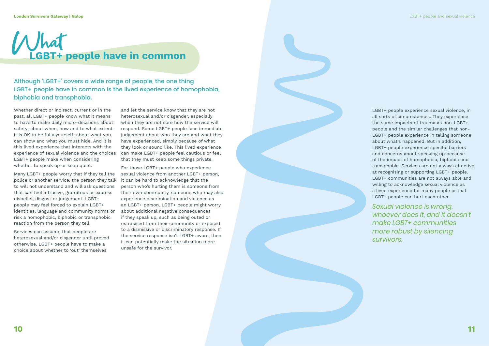Although 'LGBT+' covers a wide range of people, the one thing LGBT+ people have in common is the lived experience of homophobia, biphobia and transphobia.

Whether direct or indirect, current or in the past, all LGBT+ people know what it means to have to make daily micro-decisions about safety; about when, how and to what extent it is OK to be fully yourself; about what you can show and what you must hide. And it is this lived experience that interacts with the experience of sexual violence and the choices LGBT+ people make when considering whether to speak up or keep quiet.

Many LGBT+ people worry that if they tell the police or another service, the person they talk to will not understand and will ask questions that can feel intrusive, gratuitous or express disbelief, disgust or judgement. LGBT+ people may feel forced to explain LGBT+ identities, language and community norms or risk a homophobic, biphobic or transphobic reaction from the person they tell.

Services can assume that people are heterosexual and/or cisgender until proved otherwise. LGBT+ people have to make a choice about whether to 'out' themselves

and let the service know that they are not heterosexual and/or cisgender, especially when they are not sure how the service will respond. Some LGBT+ people face immediate judgement about who they are and what they have experienced, simply because of what they look or sound like. This lived experience can make LGBT+ people feel cautious or feel that they must keep some things private.

For those LGBT+ people who experience sexual violence from another LGBT+ person, it can be hard to acknowledge that the person who's hurting them is someone from their own community, someone who may also experience discrimination and violence as an LGBT+ person. LGBT+ people might worry about additional negative consequences if they speak up, such as being outed or ostracised from their community or exposed to a dismissive or discriminatory response. If the service response isn't LGBT+ aware, then it can potentially make the situation more unsafe for the survivor.

LGBT+ people experience sexual violence, in all sorts of circumstances. They experience the same impacts of trauma as non-LGBT+ people and the similar challenges that non-LGBT+ people experience in telling someone about what's happened. But in addition, LGBT+ people experience specific barriers and concerns about speaking up because of the impact of homophobia, biphobia and transphobia. Services are not always effective at recognising or supporting LGBT+ people. LGBT+ communities are not always able and willing to acknowledge sexual violence as a lived experience for many people or that LGBT+ people can hurt each other.

*Sexual violence is wrong, whoever does it, and it doesn't make LGBT+ communities more robust by silencing survivors.*

# **GBT+ people have in common**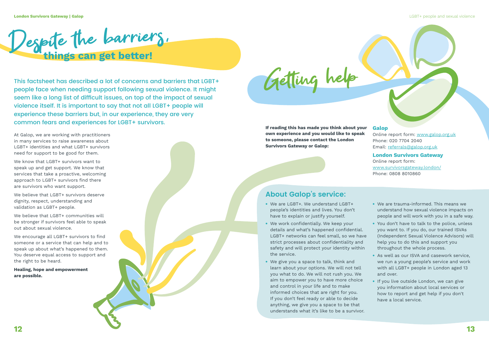This factsheet has described a lot of concerns and barriers that LGBT+ people face when needing support following sexual violence. It might seem like a long list of difficult issues, on top of the impact of sexual violence itself. It is important to say that not all LGBT+ people will experience these barriers but, in our experience, they are very common fears and experiences for LGBT+ survivors.

We know that LGBT+ survivors want to speak up and get support. We know that services that take a proactive, welcoming approach to LGBT+ survivors find there are survivors who want support.

We believe that LGBT+ survivors deserve dignity, respect, understanding and validation as LGBT+ people.

We believe that LGBT+ communities will be stronger if survivors feel able to speak out about sexual violence.

At Galop, we are working with practitioners in many services to raise awareness about LGBT+ identities and what LGBT+ survivors need for support to be good for them.

We encourage all LGBT+ survivors to find someone or a service that can help and to speak up about what's happened to them. You deserve equal access to support and the right to be heard.

**Healing, hope and empowerment are possible.**

**If reading this has made you think about your own experience and you would like to speak to someone, please contact the London Survivors Gateway or Galop:**

#### **Galop**

Online report form: [www.galop.org.uk](http://www.galop.org.uk) Phone: 020 7704 2040 Email: [referrals@galop.org.uk](mailto:referrals%40galop.org.uk?subject=)

#### **London Survivors Gateway**

Online report form: [www.survivorsgateway.london/](http://www.survivorsgateway.london/) Phone: 0808 8010860

## **About Galop's service:**

- We are LGBT+. We understand LGBT+ people's identities and lives. You don't have to explain or justify yourself.
- We work confidentially. We keep your details and what's happened confidential. LGBT+ networks can feel small, so we have strict processes about confidentiality and safety and will protect your identity within the service.
- We give you a space to talk, think and learn about your options. We will not tell you what to do. We will not rush you. We aim to empower you to have more choice and control in your life and to make informed choices that are right for you. If you don't feel ready or able to decide anything, we give you a space to be that understands what it's like to be a survivor.
- We are trauma-informed. This means we understand how sexual violence impacts on people and will work with you in a safe way.
- You don't have to talk to the police, unless you want to. If you do, our trained ISVAs (Independent Sexual Violence Advisors) will help you to do this and support you throughout the whole process.
- As well as our ISVA and casework service, we run a young people's service and work with all LGBT+ people in London aged 13 and over.
- If you live outside London, we can give you information about local services or how to report and get help if you don't have a local service.

Getting help

Despite the barriers.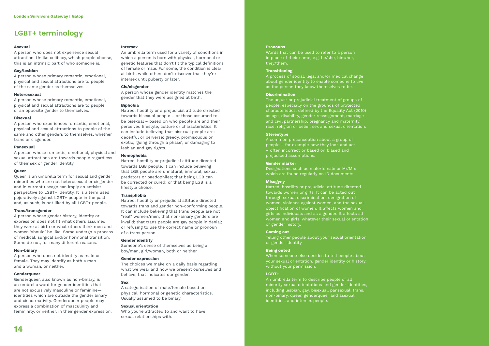#### **Asexual**

A person who does not experience sexual attraction. Unlike celibacy, which people choose, this is an intrinsic part of who someone is.

#### **Gay/lesbian**

A person whose primary romantic, emotional, physical and sexual attractions are to people of the same gender as themselves.

#### **Heterosexual**

A person whose primary romantic, emotional, physical and sexual attractions are to people of an opposite gender to themselves.

#### **Bisexual**

A person who experiences romantic, emotional, physical and sexual attractions to people of the same and other genders to themselves, whether trans or cisgender.

#### **Pansexual**

A person whose romantic, emotional, physical and sexual attractions are towards people regardless of their sex or gender identity.

#### **Queer**

Queer is an umbrella term for sexual and gender minorities who are not heterosexual or cisgender and in current useage can imply an activist perspective to LGBT+ identity. It is a term used pejoratively against LGBT+ people in the past and, as such, is not liked by all LGBT+ people.

#### **Trans/transgender**

A person whose gender history, identity or expression does not fit what others assumed they were at birth or what others think men and women 'should' be like. Some undergo a process of medical, surgical and/or hormonal transition. Some do not, for many different reasons.

#### **Non-binary**

A person who does not identify as male or female. They may identify as both a man and a woman, or neither.

#### **Genderqueer**

Genderqueer, also known as non-binary, is an umbrella word for gender identities that are not exclusively masculine or feminine identities which are outside the gender binary and cisnormativity. Genderqueer people may express a combination of masculinity and femininity, or neither, in their gender expression.

#### **Intersex**

Words that can be used to refer to a person in place of their name, e.g. he/she, him/her, they/them.

An umbrella term used for a variety of conditions in which a person is born with physical, hormonal or genetic features that don't fit the typical definitions of female or male. For some, the condition is clear at birth, while others don't discover that they're intersex until puberty or later.

#### **Cis/cisgender**

A person whose gender identity matches the gender that they were assigned at birth.

#### **Biphobia**

Hatred, hostility or a prejudicial attitude directed towards bisexual people – or those assumed to be bisexual – based on who people are and their perceived lifestyle, culture or characteristics. It can include believing that bisexual people are: deceitful or perverse; greedy, promiscuous or exotic; 'going through a phase'; or damaging to lesbian and gay rights.

#### **Homophobia**

Hatred, hostility or prejudicial attitude directed towards LGB people. It can include believing that LGB people are unnatural, immoral, sexual predators or paedophiles; that being LGB can be corrected or cured; or that being LGB is a lifestyle choice.

#### **Transphobia**

Hatred, hostility or prejudicial attitude directed towards trans and gender non-conforming people. It can include believing that trans people are not "real" women/men; that non-binary genders are invalid; that trans people are gay people in denial; or refusing to use the correct name or pronoun of a trans person.

#### **Gender identity**

Someone's sense of themselves as being a boy/man, girl/woman, both or neither.

#### **Gender expression**

The choices we make on a daily basis regarding what we wear and how we present ourselves and behave, that indicates our gender.

#### **Sex**

A categorisation of male/female based on physical, hormonal or genetic characteristics. Usually assumed to be binary.

#### **Sexual orientation**

Who you're attracted to and want to have sexual relationships with.

#### **Pronouns**

#### **Transitioning**

A process of social, legal and/or medical change about gender identity to enable someone to live as the person they know themselves to be.

#### **Discrimination**

The unjust or prejudicial treatment of groups of people, especially on the grounds of protected characteristics, defined by the Equality Act (2010) as age, disability, gender reassignment, marriage and civil partnership, pregnancy and maternity, race, religion or belief, sex and sexual orientation.

#### **Stereotype**

A common preconception about a group of people – for example how they look and act – often incorrect or based on biased and prejudiced assumptions.

#### **Gender marker**

Designations such as male/female or Mr/Mrs which are found regularly on ID documents.

#### **Misogyny**

Hatred, hostility or prejudicial attitude directed towards women or girls. It can be acted out through sexual discrimination, denigration of women, violence against women, and the sexual objectification of women. It affects women and girls as individuals and as a gender. It affects all women and girls, whatever their sexual orientation or gender history.

#### **Coming out**

Telling other people about your sexual orientation or gender identity.

#### **Being outed**

When someone else decides to tell people about your sexual orientation, gender identity or history, without your permission.

#### **LGBT+**

An umbrella term to describe people of all minority sexual orientations and gender identities, including lesbian, gay, bisexual, pansexual, trans, non-binary, queer, genderqueer and asexual identities, and intersex people.

## **LGBT+ terminology**